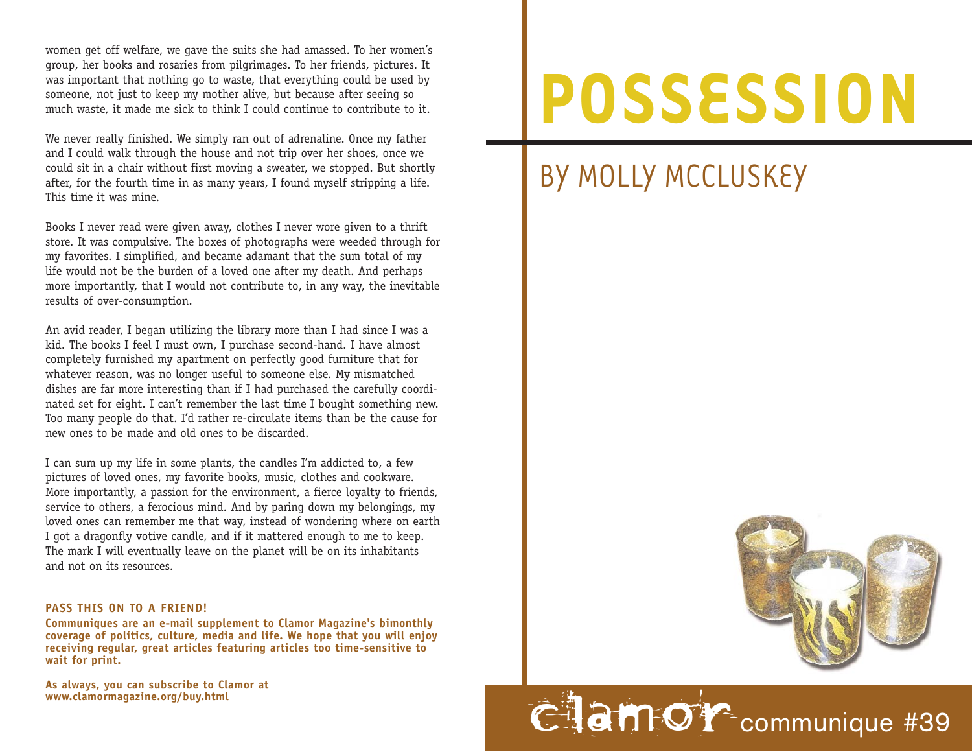wo men get off welfare, we gave the suits she had amassed. To her women's group, her books and rosaries from pilgrimages. To her friends, pictures. It was important that nothing go to waste, that everything could be used by someone, not just to keep my mother alive, but because after seeing so much waste, it made me sick to think I could continue to contribute to it.

We never really finished. We simply ran out of adrenaline. Once my father and I could walk through the house and not trip over her shoes, once we could sit in a chair without first moving a sweater, we stopped. But shortly after, for the fourth time in as many years, I found myself stripping a life. This time it was mine.

Books I never read were given away, clothes I never wore given to a thrift store. It was compulsive. The boxes of photographs were weeded through for my fa vorites. I simplified, and became adamant that the sum total of my life would not be the burden of a loved one after my death. And perhaps more importantly, that I would not contribute to, in any way, the inevitable results of over-consumption.

An avid reader, I began utilizing the library more than I had since I was a kid. The books I feel I must own, I purchase second-hand. I have almost completely furnished my apartment on perfectly good furniture that for whatever reason, was no longer useful to someone else. My mismatched dishes are far more interesting than if I had purchased the carefully coordinated set for eight. I can't remember the last time I bought something new. Too many people do that. I'd rather re-circulate items than be the cause for new ones to be made and old ones to be discarded.

I can sum up my life in some plants, the candles I'm addicted to, a few pictures of loved ones, my favorite books, music, clothes and cookware. More importantly, a passion for the environment, a fierce loyalty to friends, service to others, a ferocious mind. And by paring down my belongings, my lo ved ones can remember me that way, instead of wondering where on earth I got a dragonfly votive candle, and if it mattered enough to me to keep. The mark I will eventually leave on the planet will be on its inhabitants and not on its resources.

## **PASS THIS ON TO A FRIEND!**

**Communiques are an e-mail supplement to Clamor Magazine's bimonthly coverage of politics, culture, media and life. We hope that you will enjoy receiving regular, great articles featuring articles too time-sensitive to wait for print.** 

**As always, you can subscribe to Clamor at**

## **POSSESSION**

## BY MOLLY MCCLUSKEY



## **CLAMOY** communique #39